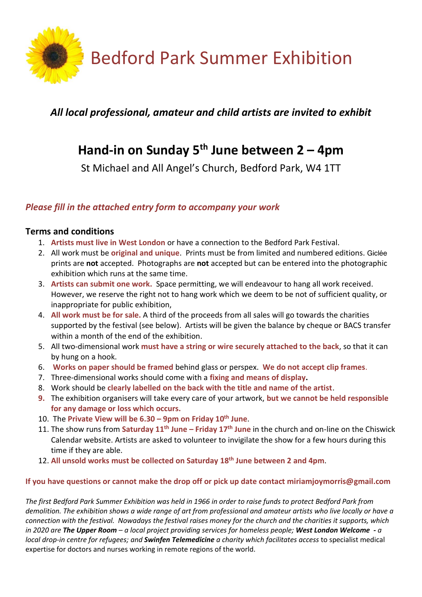

# *All local professional, amateur and child artists are invited to exhibit*

# **Hand-in on Sunday 5th June between 2 – 4pm**

St Michael and All Angel's Church, Bedford Park, W4 1TT

## *Please fill in the attached entry form to accompany your work*

### **Terms and conditions**

- 1. **Artists must live in West London** or have a connection to the Bedford Park Festival.
- 2. All work must be **original and unique**. Prints must be from limited and numbered editions. Giclée prints are **not** accepted. Photographs are **not** accepted but can be entered into the photographic exhibition which runs at the same time.
- 3. **Artists can submit one work.** Space permitting, we will endeavour to hang all work received. However, we reserve the right not to hang work which we deem to be not of sufficient quality, or inappropriate for public exhibition,
- 4. **All work must be for sale.** A third of the proceeds from all sales will go towards the charities supported by the festival (see below). Artists will be given the balance by cheque or BACS transfer within a month of the end of the exhibition.
- 5. All two-dimensional work **must have a string or wire securely attached to the back**, so that it can by hung on a hook.
- 6. **Works on paper should be framed** behind glass or perspex. **We do not accept clip frames**.
- 7. Three-dimensional works should come with a **fixing and means of display.**
- 8. Work should be **clearly labelled on the back with the title and name of the artist**.
- **9.** The exhibition organisers will take every care of your artwork, **but we cannot be held responsible for any damage or loss which occurs.**
- 10. The **Private View will be 6.30 – 9pm on Friday 10th June**.
- 11. The show runs from **Saturday 11th June – Friday 17th June** in the church and on-line on the Chiswick Calendar website. Artists are asked to volunteer to invigilate the show for a few hours during this time if they are able.
- 12. **All unsold works must be collected on Saturday 18th June between 2 and 4pm**.

#### **If you have questions or cannot make the drop off or pick up date contact miriamjoymorris@gmail.com**

*The first Bedford Park Summer Exhibition was held in 1966 in order to raise funds to protect Bedford Park from demolition. The exhibition shows a wide range of art from professional and amateur artists who live locally or have a connection with the festival. Nowadays the festival raises money for the church and the charities it supports, which in 2020 are The Upper Room – a local project providing services for homeless people; West London Welcome - a local drop-in centre for refugees; and Swinfen Telemedicine a charity which facilitates access* to specialist medical expertise for doctors and nurses working in remote regions of the world.